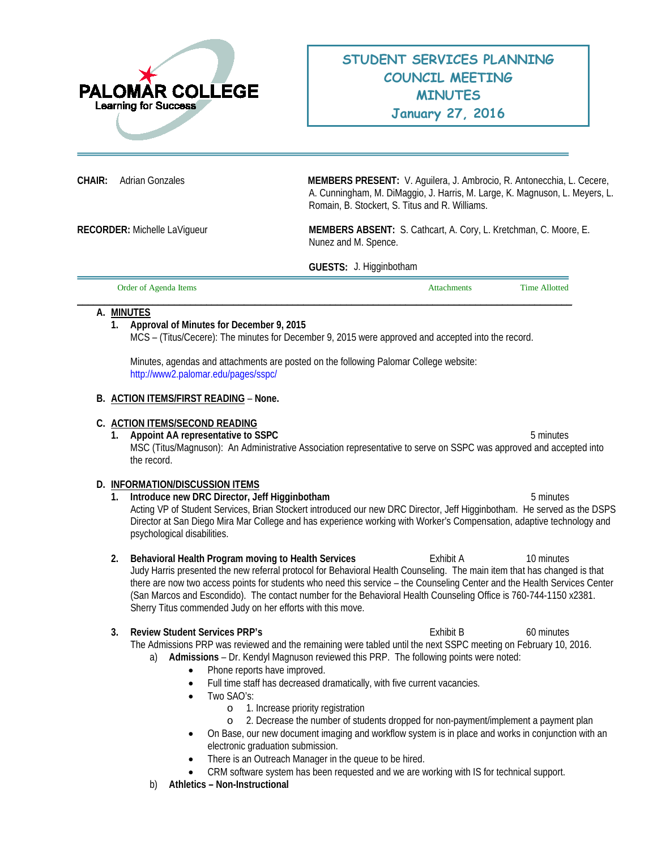

**CHAIR:** Adrian Gonzales **MEMBERS PRESENT:** V. Aguilera, J. Ambrocio, R. Antonecchia, L. Cecere, A. Cunningham, M. DiMaggio, J. Harris, M. Large, K. Magnuson, L. Meyers, L. Romain, B. Stockert, S. Titus and R. Williams.

**RECORDER:** Michelle LaVigueur **MEMBERS ABSENT:** S. Cathcart, A. Cory, L. Kretchman, C. Moore, E. Nunez and M. Spence.

**GUESTS:** J. Higginbotham

| Order of Agenda Items | Attachments | <b>Time Allotted</b> |
|-----------------------|-------------|----------------------|
|                       |             |                      |

## **A. MINUTES**

# **1. Approval of Minutes for December 9, 2015**

MCS – (Titus/Cecere): The minutes for December 9, 2015 were approved and accepted into the record.

Minutes, agendas and attachments are posted on the following Palomar College website: <http://www2.palomar.edu/pages/sspc/>

### **B. ACTION ITEMS/FIRST READING** – **None.**

### **C. ACTION ITEMS/SECOND READING**

**1. Appoint AA representative to SSPC** 6 **5 minutes** 5 minutes MSC (Titus/Magnuson): An Administrative Association representative to serve on SSPC was approved and accepted into the record.

## **D. INFORMATION/DISCUSSION ITEMS**

- **1. Introduce new DRC Director, Jeff Higginbotham** 5 minutes Acting VP of Student Services, Brian Stockert introduced our new DRC Director, Jeff Higginbotham. He served as the DSPS Director at San Diego Mira Mar College and has experience working with Worker's Compensation, adaptive technology and psychological disabilities.
- **2. Behavioral Health Program moving to Health Services <b>Exhibit A** 10 minutes Judy Harris presented the new referral protocol for Behavioral Health Counseling. The main item that has changed is that there are now two access points for students who need this service – the Counseling Center and the Health Services Center (San Marcos and Escondido). The contact number for the Behavioral Health Counseling Office is 760-744-1150 x2381. Sherry Titus commended Judy on her efforts with this move.

**3. Review Student Services PRP's Exhibit B** 60 minutes The Admissions PRP was reviewed and the remaining were tabled until the next SSPC meeting on February 10, 2016. a) **Admissions** – Dr. Kendyl Magnuson reviewed this PRP. The following points were noted:

- Phone reports have improved.
- Full time staff has decreased dramatically, with five current vacancies.
- Two SAO's:
	- o 1. Increase priority registration
	- o 2. Decrease the number of students dropped for non-payment/implement a payment plan
- On Base, our new document imaging and workflow system is in place and works in conjunction with an electronic graduation submission.
	- There is an Outreach Manager in the queue to be hired.
- CRM software system has been requested and we are working with IS for technical support.
- b) **Athletics – Non-Instructional**